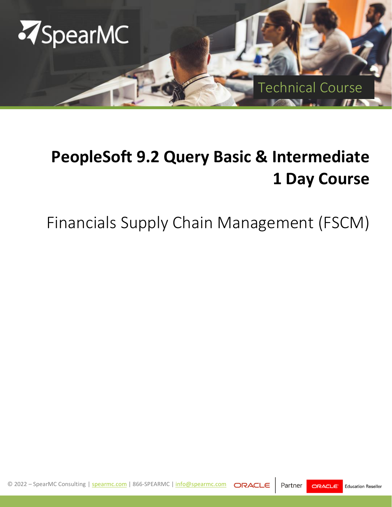

# **PeopleSoft 9.2 Query Basic & Intermediate 1 Day Course**

# Financials Supply Chain Management (FSCM)

© 2022 – SpearMC Consulting | [spearmc.com](mailto:spearmc.com) | 866-SPEARMC | [info@spearmc.com](mailto:info@spearmc.com?subject=Training%20Inquiry)  Partner ORACLE **Education Reseller**